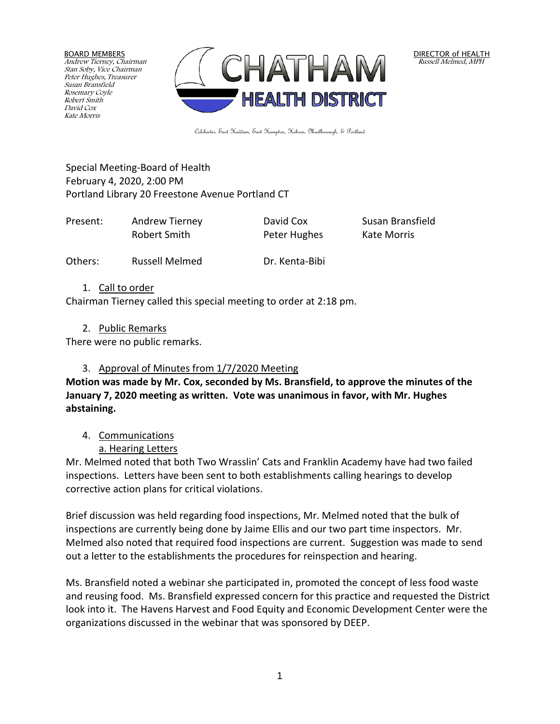BOARD MEMBERS Andrew Tierney, Chairman Stan Soby, Vice Chairman Peter Hughes, Treasurer Susan Bransfield Rosemary Coyle Robert Smith David Cox Kate Morris



DIRECTOR of HEALTH Russell Melmed, MPH

Colchester, East Haddam, East Hampton, Hebron, Marlborough, & Portland

Special Meeting-Board of Health February 4, 2020, 2:00 PM Portland Library 20 Freestone Avenue Portland CT

| Present: | Andrew Tierney | David Cox    | Susan Bransfield |
|----------|----------------|--------------|------------------|
|          | Robert Smith   | Peter Hughes | Kate Morris      |

Others: Russell Melmed Dr. Kenta-Bibi

1. Call to order

Chairman Tierney called this special meeting to order at 2:18 pm.

2. Public Remarks

There were no public remarks.

# 3. Approval of Minutes from 1/7/2020 Meeting

**Motion was made by Mr. Cox, seconded by Ms. Bransfield, to approve the minutes of the January 7, 2020 meeting as written. Vote was unanimous in favor, with Mr. Hughes abstaining.**

4. Communications

a. Hearing Letters

Mr. Melmed noted that both Two Wrasslin' Cats and Franklin Academy have had two failed inspections. Letters have been sent to both establishments calling hearings to develop corrective action plans for critical violations.

Brief discussion was held regarding food inspections, Mr. Melmed noted that the bulk of inspections are currently being done by Jaime Ellis and our two part time inspectors. Mr. Melmed also noted that required food inspections are current. Suggestion was made to send out a letter to the establishments the procedures for reinspection and hearing.

Ms. Bransfield noted a webinar she participated in, promoted the concept of less food waste and reusing food. Ms. Bransfield expressed concern for this practice and requested the District look into it. The Havens Harvest and Food Equity and Economic Development Center were the organizations discussed in the webinar that was sponsored by DEEP.